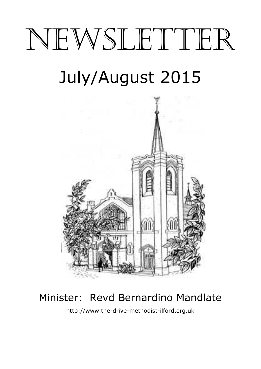# NEWSLETTER July/August 2015



# Minister: Revd Bernardino Mandlate

http://www.the-drive-methodist-ilford.org.uk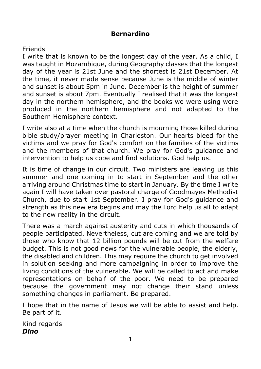#### **Bernardino**

#### Friends

I write that is known to be the longest day of the year. As a child, I was taught in Mozambique, during Geography classes that the longest day of the year is 21st June and the shortest is 21st December. At the time, it never made sense because June is the middle of winter and sunset is about 5pm in June. December is the height of summer and sunset is about 7pm. Eventually I realised that it was the longest day in the northern hemisphere, and the books we were using were produced in the northern hemisphere and not adapted to the Southern Hemisphere context.

I write also at a time when the church is mourning those killed during bible study/prayer meeting in Charleston. Our hearts bleed for the victims and we pray for God's comfort on the families of the victims and the members of that church. We pray for God's guidance and intervention to help us cope and find solutions. God help us.

It is time of change in our circuit. Two ministers are leaving us this summer and one coming in to start in September and the other arriving around Christmas time to start in January. By the time I write again I will have taken over pastoral charge of Goodmayes Methodist Church, due to start 1st September. I pray for God's guidance and strength as this new era begins and may the Lord help us all to adapt to the new reality in the circuit.

There was a march against austerity and cuts in which thousands of people participated. Nevertheless, cut are coming and we are told by those who know that 12 billion pounds will be cut from the welfare budget. This is not good news for the vulnerable people, the elderly, the disabled and children. This may require the church to get involved in solution seeking and more campaigning in order to improve the living conditions of the vulnerable. We will be called to act and make representations on behalf of the poor. We need to be prepared because the government may not change their stand unless something changes in parliament. Be prepared.

I hope that in the name of Jesus we will be able to assist and help. Be part of it.

Kind regards *Dino*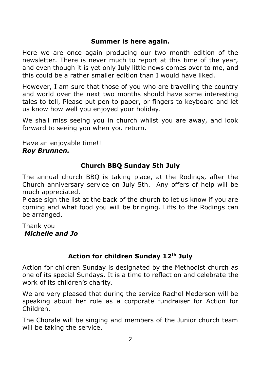#### **Summer is here again.**

Here we are once again producing our two month edition of the newsletter. There is never much to report at this time of the year, and even though it is yet only July little news comes over to me, and this could be a rather smaller edition than I would have liked.

However, I am sure that those of you who are travelling the country and world over the next two months should have some interesting tales to tell, Please put pen to paper, or fingers to keyboard and let us know how well you enjoyed your holiday.

We shall miss seeing you in church whilst you are away, and look forward to seeing you when you return.

Have an enjoyable time!! *Roy Brunnen.*

#### **Church BBQ Sunday 5th July**

The annual church BBQ is taking place, at the Rodings, after the Church anniversary service on July 5th. Any offers of help will be much appreciated.

Please sign the list at the back of the church to let us know if you are coming and what food you will be bringing. Lifts to the Rodings can be arranged.

#### Thank you *Michelle and Jo*

# **Action for children Sunday 12th July**

Action for children Sunday is designated by the Methodist church as one of its special Sundays. It is a time to reflect on and celebrate the work of its children's charity.

We are very pleased that during the service Rachel Mederson will be speaking about her role as a corporate fundraiser for Action for Children.

The Chorale will be singing and members of the Junior church team will be taking the service.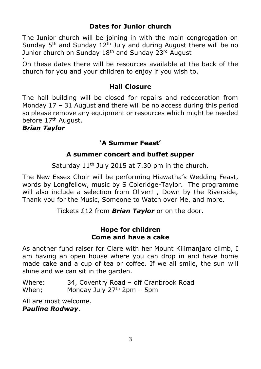#### **Dates for Junior church**

The Junior church will be joining in with the main congregation on Sunday  $5<sup>th</sup>$  and Sunday  $12<sup>th</sup>$  July and during August there will be no Junior church on Sunday 18<sup>th</sup> and Sunday 23<sup>rd</sup> August .

On these dates there will be resources available at the back of the church for you and your children to enjoy if you wish to.

#### **Hall Closure**

The hall building will be closed for repairs and redecoration from Monday 17 – 31 August and there will be no access during this period so please remove any equipment or resources which might be needed before 17<sup>th</sup> August.

#### *Brian Taylor*

# **'A Summer Feast'**

#### **A summer concert and buffet supper**

Saturday  $11<sup>th</sup>$  July 2015 at 7.30 pm in the church.

The New Essex Choir will be performing Hiawatha's Wedding Feast, words by Longfellow, music by S Coleridge-Taylor. The programme will also include a selection from Oliver! , Down by the Riverside, Thank you for the Music, Someone to Watch over Me, and more.

Tickets £12 from *Brian Taylor* or on the door.

#### **Hope for children Come and have a cake**

As another fund raiser for Clare with her Mount Kilimanjaro climb, I am having an open house where you can drop in and have home made cake and a cup of tea or coffee. If we all smile, the sun will shine and we can sit in the garden.

Where: 34, Coventry Road – off Cranbrook Road When; Monday July  $27<sup>th</sup> 2pm - 5pm$ 

All are most welcome. *Pauline Rodway*.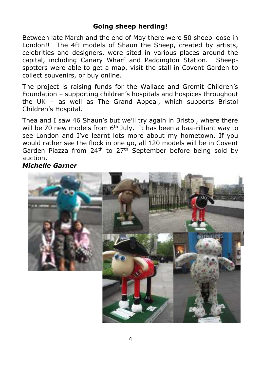#### **Going sheep herding!**

Between late March and the end of May there were 50 sheep loose in London!! The 4ft models of Shaun the Sheep, created by artists, celebrities and designers, were sited in various places around the capital, including Canary Wharf and Paddington Station. Sheepspotters were able to get a map, visit the stall in Covent Garden to collect souvenirs, or buy online.

The project is raising funds for the Wallace and Gromit Children's Foundation – supporting children's hospitals and hospices throughout the UK – as well as The Grand Appeal, which supports Bristol Children's Hospital.

Thea and I saw 46 Shaun's but we'll try again in Bristol, where there will be 70 new models from  $6<sup>th</sup>$  July. It has been a baa-rilliant way to see London and I've learnt lots more about my hometown. If you would rather see the flock in one go, all 120 models will be in Covent Garden Piazza from 24<sup>th</sup> to 27<sup>th</sup> September before being sold by auction.

#### *Michelle Garner*

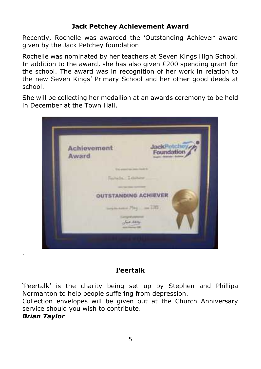## **Jack Petchey Achievement Award**

Recently, Rochelle was awarded the 'Outstanding Achiever' award given by the Jack Petchey foundation.

Rochelle was nominated by her teachers at Seven Kings High School. In addition to the award, she has also given  $£200$  spending grant for the school. The award was in recognition of her work in relation to the new Seven Kings' Primary School and her other good deeds at school.

She will be collecting her medallion at an awards ceremony to be held in December at the Town Hall.



# **Peertalk**

'Peertalk' is the charity being set up by Stephen and Phillipa Normanton to help people suffering from depression.

Collection envelopes will be given out at the Church Anniversary service should you wish to contribute.

#### *Brian Taylor*

.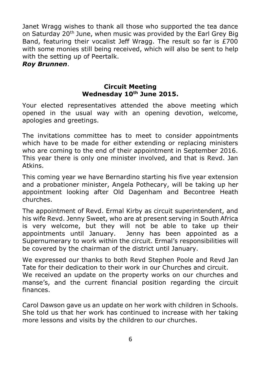Janet Wragg wishes to thank all those who supported the tea dance on Saturday 20<sup>th</sup> June, when music was provided by the Earl Grey Big Band, featuring their vocalist Jeff Wragg. The result so far is £700 with some monies still being received, which will also be sent to help with the setting up of Peertalk.

#### *Roy Brunnen*.

#### **Circuit Meeting Wednesday 10th June 2015.**

Your elected representatives attended the above meeting which opened in the usual way with an opening devotion, welcome, apologies and greetings.

The invitations committee has to meet to consider appointments which have to be made for either extending or replacing ministers who are coming to the end of their appointment in September 2016. This year there is only one minister involved, and that is Revd. Jan Atkins.

This coming year we have Bernardino starting his five year extension and a probationer minister, Angela Pothecary, will be taking up her appointment looking after Old Dagenham and Becontree Heath churches.

The appointment of Revd. Ermal Kirby as circuit superintendent, and his wife Revd. Jenny Sweet, who are at present serving in South Africa is very welcome, but they will not be able to take up their appointments until January. Jenny has been appointed as a Supernumerary to work within the circuit. Ermal's responsibilities will be covered by the chairman of the district until January.

We expressed our thanks to both Revd Stephen Poole and Revd Jan Tate for their dedication to their work in our Churches and circuit. We received an update on the property works on our churches and manse's, and the current financial position regarding the circuit finances.

Carol Dawson gave us an update on her work with children in Schools. She told us that her work has continued to increase with her taking more lessons and visits by the children to our churches.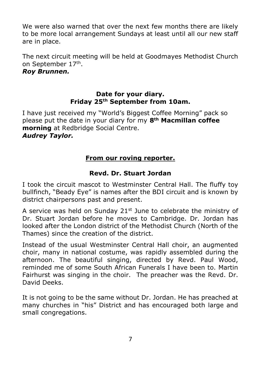We were also warned that over the next few months there are likely to be more local arrangement Sundays at least until all our new staff are in place.

The next circuit meeting will be held at Goodmayes Methodist Church on September 17th .

#### *Roy Brunnen.*

#### **Date for your diary. Friday 25th September from 10am.**

I have just received my "World's Biggest Coffee Morning" pack so please put the date in your diary for my **8th Macmillan coffee morning** at Redbridge Social Centre.

#### *Audrey Taylor.*

# **From our roving reporter.**

#### **Revd. Dr. Stuart Jordan**

I took the circuit mascot to Westminster Central Hall. The fluffy toy bullfinch, "Beady Eye" is names after the BDI circuit and is known by district chairpersons past and present.

A service was held on Sunday  $21<sup>st</sup>$  June to celebrate the ministry of Dr. Stuart Jordan before he moves to Cambridge. Dr. Jordan has looked after the London district of the Methodist Church (North of the Thames) since the creation of the district.

Instead of the usual Westminster Central Hall choir, an augmented choir, many in national costume, was rapidly assembled during the afternoon. The beautiful singing, directed by Revd. Paul Wood, reminded me of some South African Funerals I have been to. Martin Fairhurst was singing in the choir. The preacher was the Revd. Dr. David Deeks.

It is not going to be the same without Dr. Jordan. He has preached at many churches in "his" District and has encouraged both large and small congregations.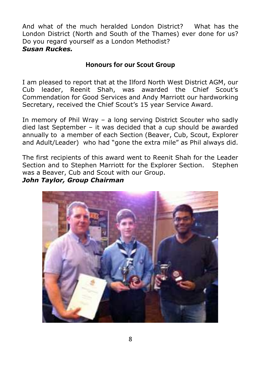And what of the much heralded London District? What has the London District (North and South of the Thames) ever done for us? Do you regard yourself as a London Methodist? *Susan Ruckes.*

## **Honours for our Scout Group**

I am pleased to report that at the Ilford North West District AGM, our Cub leader, Reenit Shah, was awarded the Chief Scout's Commendation for Good Services and Andy Marriott our hardworking Secretary, received the Chief Scout's 15 year Service Award.

In memory of Phil Wray – a long serving District Scouter who sadly died last September – it was decided that a cup should be awarded annually to a member of each Section (Beaver, Cub, Scout, Explorer and Adult/Leader) who had "gone the extra mile" as Phil always did.

The first recipients of this award went to Reenit Shah for the Leader Section and to Stephen Marriott for the Explorer Section. Stephen was a Beaver, Cub and Scout with our Group.

#### *John Taylor, Group Chairman*

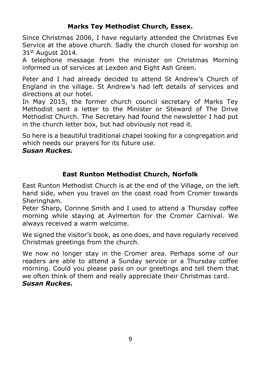# **Marks Tey Methodist Church, Essex.**

Since Christmas 2006, I have regularly attended the Christmas Eve Service at the above church. Sadly the church closed for worship on  $31<sup>st</sup>$  August 2014.

A telephone message from the minister on Christmas Morning informed us of services at Lexden and Eight Ash Green.

Peter and I had already decided to attend St Andrew's Church of England in the village. St Andrew's had left details of services and directions at our hotel.

In May 2015, the former church council secretary of Marks Tey Methodist sent a letter to the Minister or Steward of The Drive Methodist Church. The Secretary had found the newsletter I had put in the church letter box, but had obviously not read it.

So here is a beautiful traditional chapel looking for a congregation and which needs our prayers for its future use.

#### *Susan Ruckes.*

#### **East Runton Methodist Church, Norfolk**

East Runton Methodist Church is at the end of the Village, on the left hand side, when you travel on the coast road from Cromer towards Sheringham.

Peter Sharp, Corinne Smith and I used to attend a Thursday coffee morning while staying at Aylmerton for the Cromer Carnival. We always received a warm welcome.

We signed the visitor's book, as one does, and have regularly received Christmas greetings from the church.

We now no longer stay in the Cromer area. Perhaps some of our readers are able to attend a Sunday service or a Thursday coffee morning. Could you please pass on our greetings and tell them that we often think of them and really appreciate their Christmas card. *Susan Ruckes.*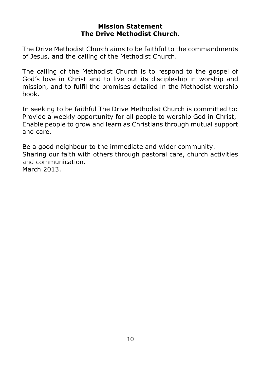#### **Mission Statement The Drive Methodist Church.**

The Drive Methodist Church aims to be faithful to the commandments of Jesus, and the calling of the Methodist Church.

The calling of the Methodist Church is to respond to the gospel of God's love in Christ and to live out its discipleship in worship and mission, and to fulfil the promises detailed in the Methodist worship book.

In seeking to be faithful The Drive Methodist Church is committed to: Provide a weekly opportunity for all people to worship God in Christ, Enable people to grow and learn as Christians through mutual support and care.

Be a good neighbour to the immediate and wider community. Sharing our faith with others through pastoral care, church activities and communication. March 2013.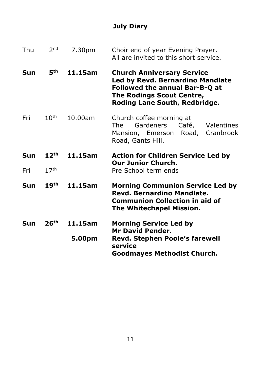# **July Diary**

| Thu | 2 <sub>nd</sub>  | 7.30pm  | Choir end of year Evening Prayer.<br>All are invited to this short service.                                                                                                  |
|-----|------------------|---------|------------------------------------------------------------------------------------------------------------------------------------------------------------------------------|
| Sun | 5th              | 11.15am | <b>Church Anniversary Service</b><br>Led by Revd. Bernardino Mandlate<br>Followed the annual Bar-B-Q at<br><b>The Rodings Scout Centre,</b><br>Roding Lane South, Redbridge. |
| Fri | 10 <sup>th</sup> | 10.00am | Church coffee morning at<br>Gardeners<br>Café,<br>Valentines<br>The<br>Road,<br>Mansion, Emerson<br>Cranbrook<br>Road, Gants Hill.                                           |
| Sun | 12 <sup>th</sup> | 11.15am | <b>Action for Children Service Led by</b><br><b>Our Junior Church.</b>                                                                                                       |
| Fri | 17 <sup>th</sup> |         | Pre School term ends                                                                                                                                                         |
| Sun | 19 <sup>th</sup> | 11.15am | <b>Morning Communion Service Led by</b><br>Revd. Bernardino Mandlate.<br><b>Communion Collection in aid of</b><br>The Whitechapel Mission.                                   |
| Sun | 26 <sup>th</sup> | 11.15am | <b>Morning Service Led by</b><br><b>Mr David Pender.</b>                                                                                                                     |
|     |                  | 5.00pm  | Revd. Stephen Poole's farewell<br>service<br><b>Goodmayes Methodist Church.</b>                                                                                              |